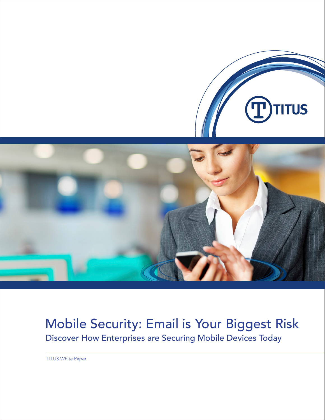



# Mobile Security: Email is Your Biggest Risk Discover How Enterprises are Securing Mobile Devices Today

TITUS White Paper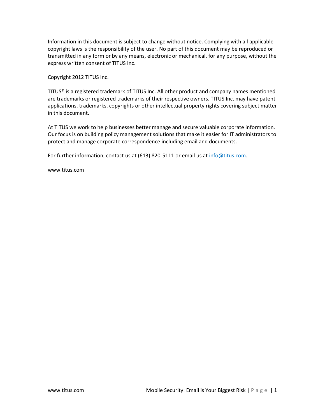Information in this document is subject to change without notice. Complying with all applicable copyright laws is the responsibility of the user. No part of this document may be reproduced or transmitted in any form or by any means, electronic or mechanical, for any purpose, without the express written consent of TITUS Inc.

Copyright 2012 TITUS Inc.

TITUS® is a registered trademark of TITUS Inc. All other product and company names mentioned are trademarks or registered trademarks of their respective owners. TITUS Inc. may have patent applications, trademarks, copyrights or other intellectual property rights covering subject matter in this document.

At TITUS we work to help businesses better manage and secure valuable corporate information. Our focus is on building policy management solutions that make it easier for IT administrators to protect and manage corporate correspondence including email and documents.

For further information, contact us at (613) 820-5111 or email us at [info@titus.com.](mailto:info@titus.com)

www.titus.com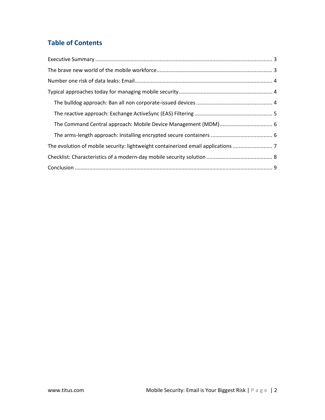# **Table of Contents**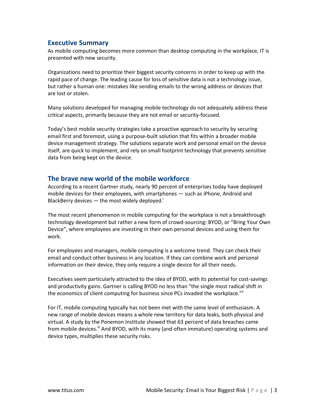# <span id="page-3-0"></span>**Executive Summary**

As mobile computing becomes more common than desktop computing in the workplace, IT is presented with new security.

Organizations need to prioritize their biggest security concerns in order to keep up with the rapid pace of change. The leading cause for loss of sensitive data is not a technology issue, but rather a human one: mistakes like sending emails to the wrong address or devices that are lost or stolen.

Many solutions developed for managing mobile technology do not adequately address these critical aspects, primarily because they are not email or security-focused.

Today's best mobile security strategies take a proactive approach to security by securing email first and foremost, using a purpose-built solution that fits within a broader mobile device management strategy. The solutions separate work and personal email on the device itself, are quick to implement, and rely on small footprint technology that prevents sensitive data from being kept on the device.

# <span id="page-3-1"></span>**The brave new world of the mobile workforce**

According to a recent Gartner study, nearly 90 percent of enterprises today have deployed mobile devices for their employees, with smartphones — such as iPhone, Android and BlackBerry devices  $-$  the most widely deployed.

The most recent phenomenon in mobile computing for the workplace is not a breakthrough technology development but rather a new form of crowd-sourcing: BYOD, or "Bring Your Own Device", where employees are investing in their own personal devices and using them for work.

For employees and managers, mobile computing is a welcome trend. They can check their email and conduct other business in any location. If they can combine work and personal information on their device, they only require a single device for all their needs.

Executives seem particularly attracted to the idea of BYOD, with its potential for cost-savings and productivity gains. Gartner is calling BYOD no less than "the single most radical shift in the economics of client computing for business since PCs invaded the workplace.""

For IT, mobile computing typically has not been met with the same level of enthusiasm. A new range of mobile devices means a whole new territory for data leaks, both physical and virtual. A study by the Ponemon Institute showed that 63 percent of data breaches came from mobile devices.<sup>III</sup> And BYOD, with its many (and often immature) operating systems and device types, multiplies these security risks.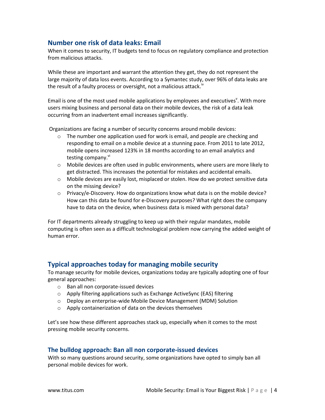# <span id="page-4-0"></span>**Number one risk of data leaks: Email**

When it comes to security, IT budgets tend to focus on regulatory compliance and protection from malicious attacks.

While these are important and warrant the attention they get, they do not represent the large majority of data loss events. According to a Symantec study, over 96% of data leaks are the result of a faulty process or oversight, not a malicious attack.<sup>iv</sup>

Email is one of the most used mobile applications by employees and executives<sup>v</sup>. With more users mixing business and personal data on their mobile devices, the risk of a data leak occurring from an inadvertent email increases significantly.

Organizations are facing a number of security concerns around mobile devices:

- $\circ$  The number one application used for work is email, and people are checking and responding to email on a mobile device at a stunning pace. From 2011 to late 2012, mobile opens increased 123% in 18 months according to an email analytics and testing company.<sup>vi</sup>
- $\circ$  Mobile devices are often used in public environments, where users are more likely to get distracted. This increases the potential for mistakes and accidental emails.
- $\circ$  Mobile devices are easily lost, misplaced or stolen. How do we protect sensitive data on the missing device?
- $\circ$  Privacy/e-Discovery. How do organizations know what data is on the mobile device? How can this data be found for e-Discovery purposes? What right does the company have to data on the device, when business data is mixed with personal data?

For IT departments already struggling to keep up with their regular mandates, mobile computing is often seen as a difficult technological problem now carrying the added weight of human error.

# <span id="page-4-1"></span>**Typical approaches today for managing mobile security**

To manage security for mobile devices, organizations today are typically adopting one of four general approaches:

- o Ban all non corporate-issued devices
- $\circ$  Apply filtering applications such as Exchange ActiveSync (EAS) filtering
- o Deploy an enterprise-wide Mobile Device Management (MDM) Solution
- o Apply containerization of data on the devices themselves

Let's see how these different approaches stack up, especially when it comes to the most pressing mobile security concerns.

#### <span id="page-4-2"></span>**The bulldog approach: Ban all non corporate-issued devices**

With so many questions around security, some organizations have opted to simply ban all personal mobile devices for work.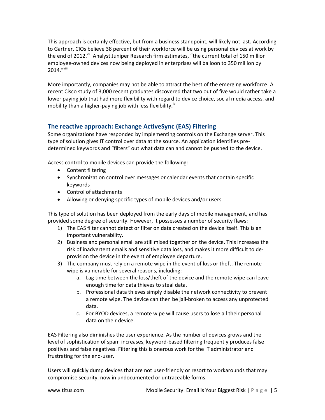This approach is certainly effective, but from a business standpoint, will likely not last. According to Gartner, CIOs believe 38 percent of their workforce will be using personal devices at work by the end of 2012.<sup>vii</sup> Analyst Juniper Research firm estimates, "the current total of 150 million employee-owned devices now being deployed in enterprises will balloon to 350 million by 2014."Viii

More importantly, companies may not be able to attract the best of the emerging workforce. A recent Cisco study of 3,000 recent graduates discovered that two out of five would rather take a lower paying job that had more flexibility with regard to device choice, social media access, and mobility than a higher-paying job with less flexibility**. ix**

# <span id="page-5-0"></span>**The reactive approach: Exchange ActiveSync (EAS) Filtering**

Some organizations have responded by implementing controls on the Exchange server. This type of solution gives IT control over data at the source. An application identifies predetermined keywords and "filters" out what data can and cannot be pushed to the device.

Access control to mobile devices can provide the following:

- Content filtering
- Synchronization control over messages or calendar events that contain specific keywords
- Control of attachments
- Allowing or denying specific types of mobile devices and/or users

This type of solution has been deployed from the early days of mobile management, and has provided some degree of security. However, it possesses a number of security flaws:

- 1) The EAS filter cannot detect or filter on data created on the device itself. This is an important vulnerability.
- 2) Business and personal email are still mixed together on the device. This increases the risk of inadvertent emails and sensitive data loss, and makes it more difficult to deprovision the device in the event of employee departure.
- 3) The company must rely on a remote wipe in the event of loss or theft. The remote wipe is vulnerable for several reasons, including:
	- a. Lag time between the loss/theft of the device and the remote wipe can leave enough time for data thieves to steal data.
	- b. Professional data thieves simply disable the network connectivity to prevent a remote wipe. The device can then be jail-broken to access any unprotected data.
	- c. For BYOD devices, a remote wipe will cause users to lose all their personal data on their device.

EAS Filtering also diminishes the user experience. As the number of devices grows and the level of sophistication of spam increases, keyword-based filtering frequently produces false positives and false negatives. Filtering this is onerous work for the IT administrator and frustrating for the end-user.

Users will quickly dump devices that are not user-friendly or resort to workarounds that may compromise security, now in undocumented or untraceable forms.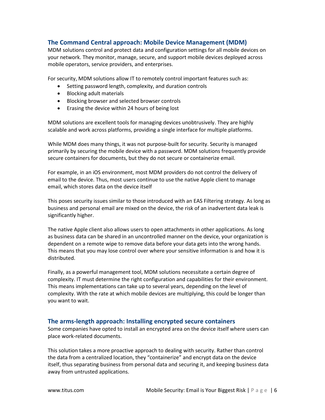#### <span id="page-6-0"></span>**The Command Central approach: Mobile Device Management (MDM)**

MDM solutions control and protect data and configuration settings for all mobile devices on your network. They monitor, manage, secure, and support mobile devices deployed across mobile operators, service providers, and enterprises.

For security, MDM solutions allow IT to remotely control important features such as:

- Setting password length, complexity, and duration controls
- Blocking adult materials
- Blocking browser and selected browser controls
- Erasing the device within 24 hours of being lost

MDM solutions are excellent tools for managing devices unobtrusively. They are highly scalable and work across platforms, providing a single interface for multiple platforms.

While MDM does many things, it was not purpose-built for security. Security is managed primarily by securing the mobile device with a password. MDM solutions frequently provide secure containers for documents, but they do not secure or containerize email.

For example, in an iOS environment, most MDM providers do not control the delivery of email to the device. Thus, most users continue to use the native Apple client to manage email, which stores data on the device itself

This poses security issues similar to those introduced with an EAS Filtering strategy. As long as business and personal email are mixed on the device, the risk of an inadvertent data leak is significantly higher.

The native Apple client also allows users to open attachments in other applications. As long as business data can be shared in an uncontrolled manner on the device, your organization is dependent on a remote wipe to remove data before your data gets into the wrong hands. This means that you may lose control over where your sensitive information is and how it is distributed.

Finally, as a powerful management tool, MDM solutions necessitate a certain degree of complexity. IT must determine the right configuration and capabilities for their environment. This means implementations can take up to several years, depending on the level of complexity. With the rate at which mobile devices are multiplying, this could be longer than you want to wait.

#### <span id="page-6-1"></span>**The arms-length approach: Installing encrypted secure containers**

Some companies have opted to install an encrypted area on the device itself where users can place work-related documents.

This solution takes a more proactive approach to dealing with security. Rather than control the data from a centralized location, they "containerize" and encrypt data on the device itself, thus separating business from personal data and securing it, and keeping business data away from untrusted applications.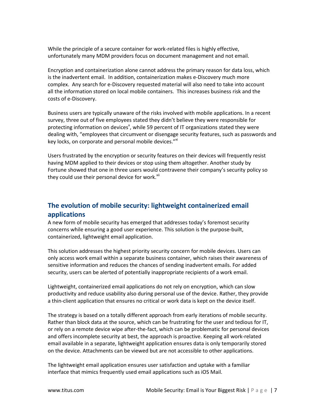While the principle of a secure container for work-related files is highly effective, unfortunately many MDM providers focus on document management and not email.

Encryption and containerization alone cannot address the primary reason for data loss, which is the inadvertent email. In addition, containerization makes e-Discovery much more complex. Any search for e-Discovery requested material will also need to take into account all the information stored on local mobile containers. This increases business risk and the costs of e-Discovery.

Business users are typically unaware of the risks involved with mobile applications. In a recent survey, three out of five employees stated they didn't believe they were responsible for protecting information on devices<sup>x</sup>, while 59 percent of IT organizations stated they were dealing with, "employees that circumvent or disengage security features, such as passwords and key locks, on corporate and personal mobile devices."<sup>xi</sup>

Users frustrated by the encryption or security features on their devices will frequently resist having MDM applied to their devices or stop using them altogether. Another study by Fortune showed that one in three users would contravene their company's security policy so they could use their personal device for work.<sup>xii</sup>

# <span id="page-7-0"></span>**The evolution of mobile security: lightweight containerized email applications**

A new form of mobile security has emerged that addresses today's foremost security concerns while ensuring a good user experience. This solution is the purpose-built, containerized, lightweight email application.

This solution addresses the highest priority security concern for mobile devices. Users can only access work email within a separate business container, which raises their awareness of sensitive information and reduces the chances of sending inadvertent emails. For added security, users can be alerted of potentially inappropriate recipients of a work email.

Lightweight, containerized email applications do not rely on encryption, which can slow productivity and reduce usability also during personal use of the device. Rather, they provide a thin-client application that ensures no critical or work data is kept on the device itself.

The strategy is based on a totally different approach from early iterations of mobile security. Rather than block data at the source, which can be frustrating for the user and tedious for IT, or rely on a remote device wipe after-the-fact, which can be problematic for personal devices and offers incomplete security at best, the approach is proactive. Keeping all work-related email available in a separate, lightweight application ensures data is only temporarily stored on the device. Attachments can be viewed but are not accessible to other applications.

The lightweight email application ensures user satisfaction and uptake with a familiar interface that mimics frequently used email applications such as iOS Mail.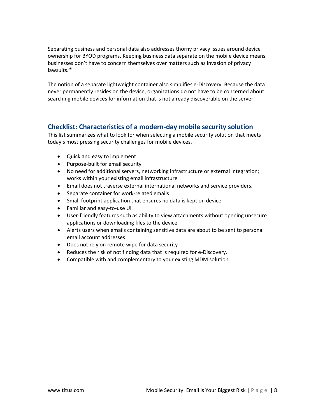Separating business and personal data also addresses thorny privacy issues around device ownership for BYOD programs. Keeping business data separate on the mobile device means businesses don't have to concern themselves over matters such as invasion of privacy lawsuits.<sup>xiii</sup>

The notion of a separate lightweight container also simplifies e-Discovery. Because the data never permanently resides on the device, organizations do not have to be concerned about searching mobile devices for information that is not already discoverable on the server.

# <span id="page-8-0"></span>**Checklist: Characteristics of a modern-day mobile security solution**

This list summarizes what to look for when selecting a mobile security solution that meets today's most pressing security challenges for mobile devices.

- Quick and easy to implement
- Purpose-built for email security
- No need for additional servers, networking infrastructure or external integration; works within your existing email infrastructure
- Email does not traverse external international networks and service providers.
- Separate container for work-related emails
- Small footprint application that ensures no data is kept on device
- Familiar and easy-to-use UI
- User-friendly features such as ability to view attachments without opening unsecure applications or downloading files to the device
- Alerts users when emails containing sensitive data are about to be sent to personal email account addresses
- Does not rely on remote wipe for data security
- Reduces the risk of not finding data that is required for e-Discovery.
- Compatible with and complementary to your existing MDM solution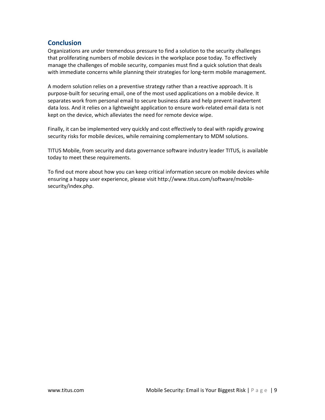# <span id="page-9-0"></span>**Conclusion**

Organizations are under tremendous pressure to find a solution to the security challenges that proliferating numbers of mobile devices in the workplace pose today. To effectively manage the challenges of mobile security, companies must find a quick solution that deals with immediate concerns while planning their strategies for long-term mobile management.

A modern solution relies on a preventive strategy rather than a reactive approach. It is purpose-built for securing email, one of the most used applications on a mobile device. It separates work from personal email to secure business data and help prevent inadvertent data loss. And it relies on a lightweight application to ensure work-related email data is not kept on the device, which alleviates the need for remote device wipe.

Finally, it can be implemented very quickly and cost effectively to deal with rapidly growing security risks for mobile devices, while remaining complementary to MDM solutions.

TITUS Mobile, from security and data governance software industry leader TITUS, is available today to meet these requirements.

To find out more about how you can keep critical information secure on mobile devices while ensuring a happy user experience, please visit http://www.titus.com/software/mobilesecurity/index.php.